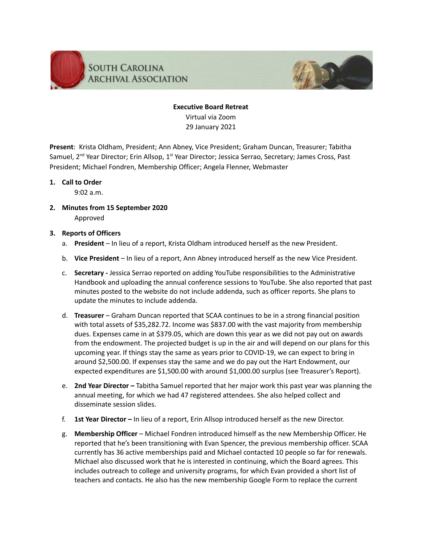

# **Executive Board Retreat** Virtual via Zoom 29 January 2021

**Present**: Krista Oldham, President; Ann Abney, Vice President; Graham Duncan, Treasurer; Tabitha Samuel, 2<sup>nd</sup> Year Director; Erin Allsop, 1<sup>st</sup> Year Director; Jessica Serrao, Secretary; James Cross, Past President; Michael Fondren, Membership Officer; Angela Flenner, Webmaster

# **1. Call to Order**

9:02 a.m.

**2. Minutes from 15 September 2020** Approved

# **3. Reports of Officers**

- a. **President** In lieu of a report, Krista Oldham introduced herself as the new President.
- b. **Vice President** In lieu of a report, Ann Abney introduced herself as the new Vice President.
- c. **Secretary -** Jessica Serrao reported on adding YouTube responsibilities to the Administrative Handbook and uploading the annual conference sessions to YouTube. She also reported that past minutes posted to the website do not include addenda, such as officer reports. She plans to update the minutes to include addenda.
- d. **Treasurer** Graham Duncan reported that SCAA continues to be in a strong financial position with total assets of \$35,282.72. Income was \$837.00 with the vast majority from membership dues. Expenses came in at \$379.05, which are down this year as we did not pay out on awards from the endowment. The projected budget is up in the air and will depend on our plans for this upcoming year. If things stay the same as years prior to COVID-19, we can expect to bring in around \$2,500.00. If expenses stay the same and we do pay out the Hart Endowment, our expected expenditures are \$1,500.00 with around \$1,000.00 surplus (see Treasurer's Report).
- e. **2nd Year Director –** Tabitha Samuel reported that her major work this past year was planning the annual meeting, for which we had 47 registered attendees. She also helped collect and disseminate session slides.
- f. **1st Year Director –** In lieu of a report, Erin Allsop introduced herself as the new Director.
- g. **Membership Officer** Michael Fondren introduced himself as the new Membership Officer. He reported that he's been transitioning with Evan Spencer, the previous membership officer. SCAA currently has 36 active memberships paid and Michael contacted 10 people so far for renewals. Michael also discussed work that he is interested in continuing, which the Board agrees. This includes outreach to college and university programs, for which Evan provided a short list of teachers and contacts. He also has the new membership Google Form to replace the current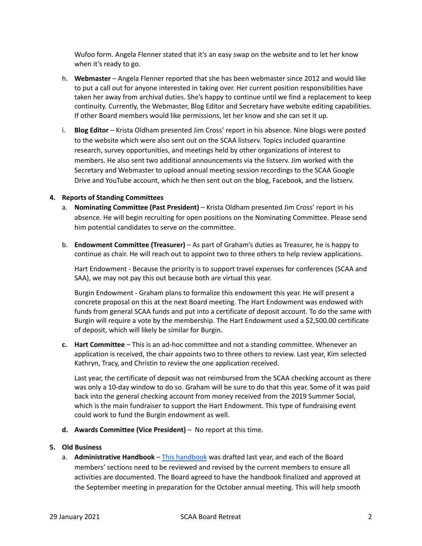Wufoo form. Angela Flenner stated that it's an easy swap on the website and to let her know when it's ready to go.

- h. **Webmaster** Angela Flenner reported that she has been webmaster since 2012 and would like to put a call out for anyone interested in taking over. Her current position responsibilities have taken her away from archival duties. She's happy to continue until we find a replacement to keep continuity. Currently, the Webmaster, Blog Editor and Secretary have website editing capabilities. If other Board members would like permissions, let her know and she can set it up.
- i. **Blog Editor** Krista Oldham presented Jim Cross' report in his absence. Nine blogs were posted to the website which were also sent out on the SCAA listserv. Topics included quarantine research, survey opportunities, and meetings held by other organizations of interest to members. He also sent two additional announcements via the listserv. Jim worked with the Secretary and Webmaster to upload annual meeting session recordings to the SCAA Google Drive and YouTube account, which he then sent out on the blog, Facebook, and the listserv.

#### **4. Reports of Standing Committees**

- a. **Nominating Committee (Past President)** Krista Oldham presented Jim Cross' report in his absence. He will begin recruiting for open positions on the Nominating Committee. Please send him potential candidates to serve on the committee.
- b. **Endowment Committee (Treasurer)** As part of Graham's duties as Treasurer, he is happy to continue as chair. He will reach out to appoint two to three others to help review applications.

Hart Endowment - Because the priority is to support travel expenses for conferences (SCAA and SAA), we may not pay this out because both are virtual this year.

Burgin Endowment - Graham plans to formalize this endowment this year. He will present a concrete proposal on this at the next Board meeting. The Hart Endowment was endowed with funds from general SCAA funds and put into a certificate of deposit account. To do the same with Burgin will require a vote by the membership. The Hart Endowment used a \$2,500.00 certificate of deposit, which will likely be similar for Burgin.

**c. Hart Committee** – This is an ad-hoc committee and not a standing committee. Whenever an application is received, the chair appoints two to three others to review. Last year, Kim selected Kathryn, Tracy, and Christin to review the one application received.

Last year, the certificate of deposit was not reimbursed from the SCAA checking account as there was only a 10-day window to do so. Graham will be sure to do that this year. Some of it was paid back into the general checking account from money received from the 2019 Summer Social, which is the main fundraiser to support the Hart Endowment. This type of fundraising event could work to fund the Burgin endowment as well.

**d. Awards Committee (Vice President)** – No report at this time.

#### **5. Old Business**

a. **Administrative Handbook** – This [handbook](https://docs.google.com/document/d/1GqIwXeciwWdVpDZyyTR2nfHuvIpxtTQbAkWSI4hm2sI/edit) was drafted last year, and each of the Board members' sections need to be reviewed and revised by the current members to ensure all activities are documented. The Board agreed to have the handbook finalized and approved at the September meeting in preparation for the October annual meeting. This will help smooth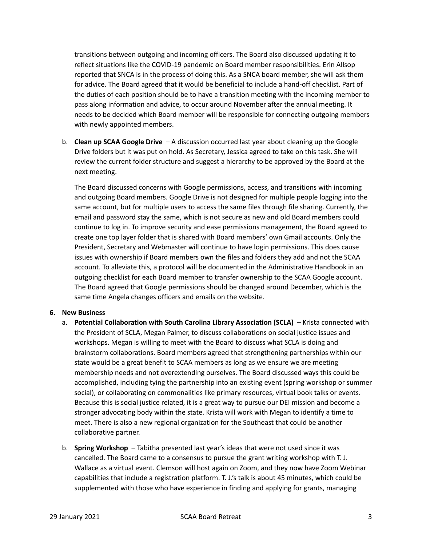transitions between outgoing and incoming officers. The Board also discussed updating it to reflect situations like the COVID-19 pandemic on Board member responsibilities. Erin Allsop reported that SNCA is in the process of doing this. As a SNCA board member, she will ask them for advice. The Board agreed that it would be beneficial to include a hand-off checklist. Part of the duties of each position should be to have a transition meeting with the incoming member to pass along information and advice, to occur around November after the annual meeting. It needs to be decided which Board member will be responsible for connecting outgoing members with newly appointed members.

b. **Clean up SCAA Google Drive** – A discussion occurred last year about cleaning up the Google Drive folders but it was put on hold. As Secretary, Jessica agreed to take on this task. She will review the current folder structure and suggest a hierarchy to be approved by the Board at the next meeting.

The Board discussed concerns with Google permissions, access, and transitions with incoming and outgoing Board members. Google Drive is not designed for multiple people logging into the same account, but for multiple users to access the same files through file sharing. Currently, the email and password stay the same, which is not secure as new and old Board members could continue to log in. To improve security and ease permissions management, the Board agreed to create one top layer folder that is shared with Board members' own Gmail accounts. Only the President, Secretary and Webmaster will continue to have login permissions. This does cause issues with ownership if Board members own the files and folders they add and not the SCAA account. To alleviate this, a protocol will be documented in the Administrative Handbook in an outgoing checklist for each Board member to transfer ownership to the SCAA Google account. The Board agreed that Google permissions should be changed around December, which is the same time Angela changes officers and emails on the website.

# **6. New Business**

- a. **Potential Collaboration with South Carolina Library Association (SCLA)** Krista connected with the President of SCLA, Megan Palmer, to discuss collaborations on social justice issues and workshops. Megan is willing to meet with the Board to discuss what SCLA is doing and brainstorm collaborations. Board members agreed that strengthening partnerships within our state would be a great benefit to SCAA members as long as we ensure we are meeting membership needs and not overextending ourselves. The Board discussed ways this could be accomplished, including tying the partnership into an existing event (spring workshop or summer social), or collaborating on commonalities like primary resources, virtual book talks or events. Because this is social justice related, it is a great way to pursue our DEI mission and become a stronger advocating body within the state. Krista will work with Megan to identify a time to meet. There is also a new regional organization for the Southeast that could be another collaborative partner.
- b. **Spring Workshop** Tabitha presented last year's ideas that were not used since it was cancelled. The Board came to a consensus to pursue the grant writing workshop with T. J. Wallace as a virtual event. Clemson will host again on Zoom, and they now have Zoom Webinar capabilities that include a registration platform. T. J.'s talk is about 45 minutes, which could be supplemented with those who have experience in finding and applying for grants, managing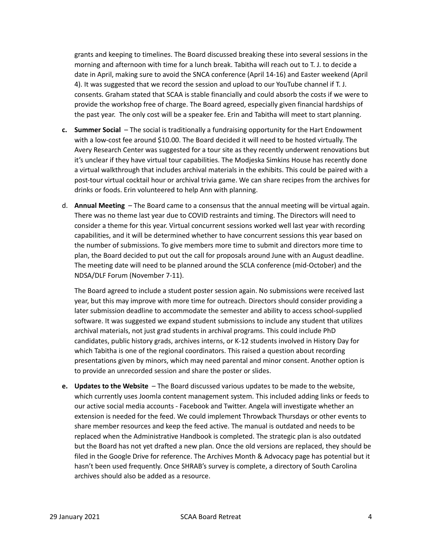grants and keeping to timelines. The Board discussed breaking these into several sessions in the morning and afternoon with time for a lunch break. Tabitha will reach out to T. J. to decide a date in April, making sure to avoid the SNCA conference (April 14-16) and Easter weekend (April 4). It was suggested that we record the session and upload to our YouTube channel if T. J. consents. Graham stated that SCAA is stable financially and could absorb the costs if we were to provide the workshop free of charge. The Board agreed, especially given financial hardships of the past year. The only cost will be a speaker fee. Erin and Tabitha will meet to start planning.

- **c. Summer Social** The social is traditionally a fundraising opportunity for the Hart Endowment with a low-cost fee around \$10.00. The Board decided it will need to be hosted virtually. The Avery Research Center was suggested for a tour site as they recently underwent renovations but it's unclear if they have virtual tour capabilities. The Modjeska Simkins House has recently done a virtual walkthrough that includes archival materials in the exhibits. This could be paired with a post-tour virtual cocktail hour or archival trivia game. We can share recipes from the archives for drinks or foods. Erin volunteered to help Ann with planning.
- d. **Annual Meeting** The Board came to a consensus that the annual meeting will be virtual again. There was no theme last year due to COVID restraints and timing. The Directors will need to consider a theme for this year. Virtual concurrent sessions worked well last year with recording capabilities, and it will be determined whether to have concurrent sessions this year based on the number of submissions. To give members more time to submit and directors more time to plan, the Board decided to put out the call for proposals around June with an August deadline. The meeting date will need to be planned around the SCLA conference (mid-October) and the NDSA/DLF Forum (November 7-11).

The Board agreed to include a student poster session again. No submissions were received last year, but this may improve with more time for outreach. Directors should consider providing a later submission deadline to accommodate the semester and ability to access school-supplied software. It was suggested we expand student submissions to include any student that utilizes archival materials, not just grad students in archival programs. This could include PhD candidates, public history grads, archives interns, or K-12 students involved in History Day for which Tabitha is one of the regional coordinators. This raised a question about recording presentations given by minors, which may need parental and minor consent. Another option is to provide an unrecorded session and share the poster or slides.

**e. Updates to the Website** – The Board discussed various updates to be made to the website, which currently uses Joomla content management system. This included adding links or feeds to our active social media accounts - Facebook and Twitter. Angela will investigate whether an extension is needed for the feed. We could implement Throwback Thursdays or other events to share member resources and keep the feed active. The manual is outdated and needs to be replaced when the Administrative Handbook is completed. The strategic plan is also outdated but the Board has not yet drafted a new plan. Once the old versions are replaced, they should be filed in the Google Drive for reference. The Archives Month & Advocacy page has potential but it hasn't been used frequently. Once SHRAB's survey is complete, a directory of South Carolina archives should also be added as a resource.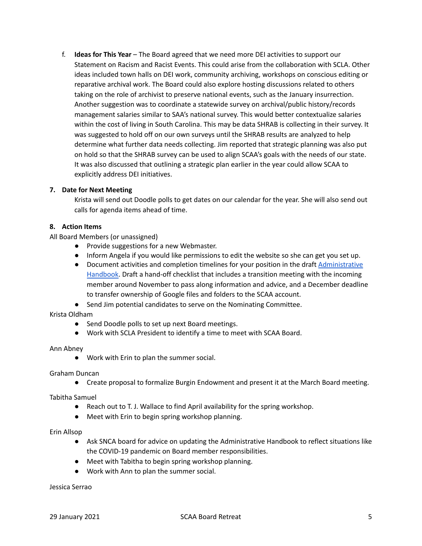f. **Ideas for This Year** – The Board agreed that we need more DEI activities to support our Statement on Racism and Racist Events. This could arise from the collaboration with SCLA. Other ideas included town halls on DEI work, community archiving, workshops on conscious editing or reparative archival work. The Board could also explore hosting discussions related to others taking on the role of archivist to preserve national events, such as the January insurrection. Another suggestion was to coordinate a statewide survey on archival/public history/records management salaries similar to SAA's national survey. This would better contextualize salaries within the cost of living in South Carolina. This may be data SHRAB is collecting in their survey. It was suggested to hold off on our own surveys until the SHRAB results are analyzed to help determine what further data needs collecting. Jim reported that strategic planning was also put on hold so that the SHRAB survey can be used to align SCAA's goals with the needs of our state. It was also discussed that outlining a strategic plan earlier in the year could allow SCAA to explicitly address DEI initiatives.

# **7. Date for Next Meeting**

Krista will send out Doodle polls to get dates on our calendar for the year. She will also send out calls for agenda items ahead of time.

# **8. Action Items**

All Board Members (or unassigned)

- Provide suggestions for a new Webmaster.
- Inform Angela if you would like permissions to edit the website so she can get you set up.
- Document activities and completion timelines for your position in the draft [Administrative](https://docs.google.com/document/d/1GqIwXeciwWdVpDZyyTR2nfHuvIpxtTQbAkWSI4hm2sI/edit) [Handbook](https://docs.google.com/document/d/1GqIwXeciwWdVpDZyyTR2nfHuvIpxtTQbAkWSI4hm2sI/edit). Draft a hand-off checklist that includes a transition meeting with the incoming member around November to pass along information and advice, and a December deadline to transfer ownership of Google files and folders to the SCAA account.
- Send Jim potential candidates to serve on the Nominating Committee.

# Krista Oldham

- Send Doodle polls to set up next Board meetings.
- Work with SCLA President to identify a time to meet with SCAA Board.

# Ann Abney

● Work with Erin to plan the summer social.

# Graham Duncan

● Create proposal to formalize Burgin Endowment and present it at the March Board meeting.

# Tabitha Samuel

- Reach out to T. J. Wallace to find April availability for the spring workshop.
- Meet with Erin to begin spring workshop planning.

#### Erin Allsop

- Ask SNCA board for advice on updating the Administrative Handbook to reflect situations like the COVID-19 pandemic on Board member responsibilities.
- Meet with Tabitha to begin spring workshop planning.
- Work with Ann to plan the summer social.

Jessica Serrao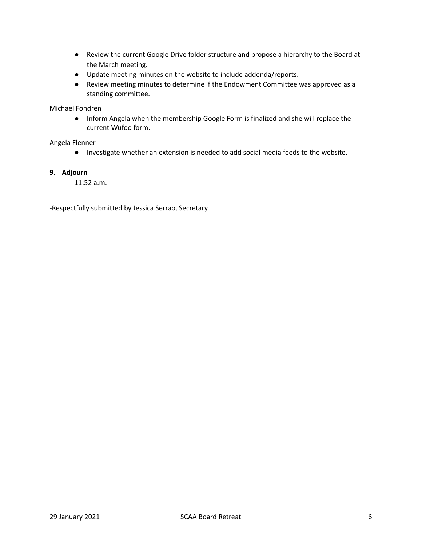- Review the current Google Drive folder structure and propose a hierarchy to the Board at the March meeting.
- Update meeting minutes on the website to include addenda/reports.
- Review meeting minutes to determine if the Endowment Committee was approved as a standing committee.

# Michael Fondren

● Inform Angela when the membership Google Form is finalized and she will replace the current Wufoo form.

#### Angela Flenner

● Investigate whether an extension is needed to add social media feeds to the website.

#### **9. Adjourn**

11:52 a.m.

-Respectfully submitted by Jessica Serrao, Secretary